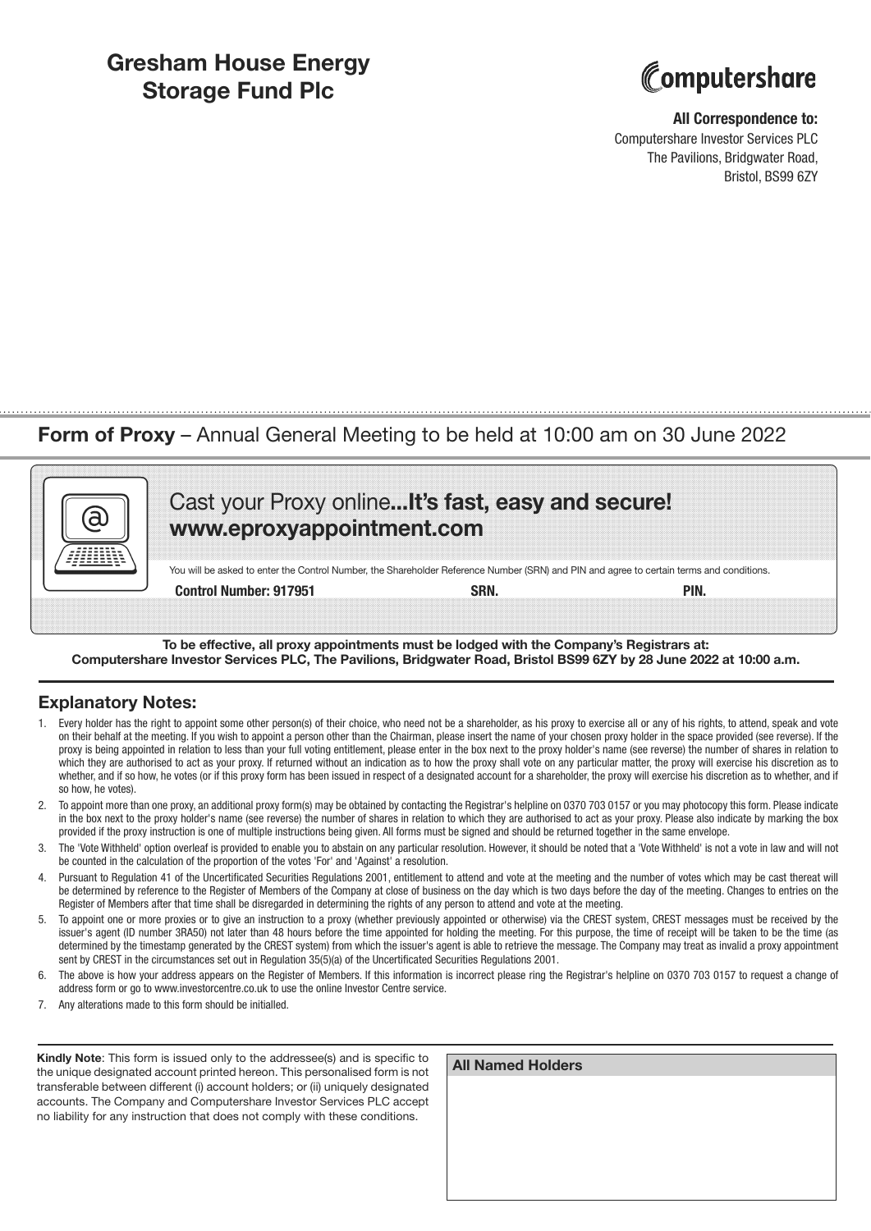## **Gresham House Energy Storage Fund Plc**



#### **All Correspondence to:**

Computershare Investor Services PLC The Pavilions, Bridgwater Road, Bristol, BS99 6ZY

## **Form of Proxy** – Annual General Meeting to be held at 10:00 am on 30 June 2022

| Cast your Proxy online It's fast, easy and secure!<br>www.eproxyappointment.com                                                          |  |  |
|------------------------------------------------------------------------------------------------------------------------------------------|--|--|
| You will be asked to enter the Control Number, the Shareholder Reference Number (SRN) and PIN and agree to certain terms and conditions. |  |  |
|                                                                                                                                          |  |  |

**To be effective, all proxy appointments must be lodged with the Company's Registrars at: Computershare Investor Services PLC, The Pavilions, Bridgwater Road, Bristol BS99 6ZY by 28 June 2022 at 10:00 a.m.**

### **Explanatory Notes:**

- 1. Every holder has the right to appoint some other person(s) of their choice, who need not be a shareholder, as his proxy to exercise all or any of his rights, to attend, speak and vote on their behalf at the meeting. If you wish to appoint a person other than the Chairman, please insert the name of your chosen proxy holder in the space provided (see reverse). If the proxy is being appointed in relation to less than your full voting entitlement, please enter in the box next to the proxy holder's name (see reverse) the number of shares in relation to which they are authorised to act as your proxy. If returned without an indication as to how the proxy shall vote on any particular matter, the proxy will exercise his discretion as to whether, and if so how, he votes (or if this proxy form has been issued in respect of a designated account for a shareholder, the proxy will exercise his discretion as to whether, and if so how, he votes).
- 2. To appoint more than one proxy, an additional proxy form(s) may be obtained by contacting the Registrar's helpline on 0370 703 0157 or you may photocopy this form. Please indicate in the box next to the proxy holder's name (see reverse) the number of shares in relation to which they are authorised to act as your proxy. Please also indicate by marking the box provided if the proxy instruction is one of multiple instructions being given. All forms must be signed and should be returned together in the same envelope.
- 3. The 'Vote Withheld' option overleaf is provided to enable you to abstain on any particular resolution. However, it should be noted that a 'Vote Withheld' is not a vote in law and will not be counted in the calculation of the proportion of the votes 'For' and 'Against' a resolution.
- 4. Pursuant to Regulation 41 of the Uncertificated Securities Regulations 2001, entitlement to attend and vote at the meeting and the number of votes which may be cast thereat will be determined by reference to the Register of Members of the Company at close of business on the day which is two days before the day of the meeting. Changes to entries on the Register of Members after that time shall be disregarded in determining the rights of any person to attend and vote at the meeting.
- 5. To appoint one or more proxies or to give an instruction to a proxy (whether previously appointed or otherwise) via the CREST system, CREST messages must be received by the issuer's agent (ID number 3RA50) not later than 48 hours before the time appointed for holding the meeting. For this purpose, the time of receipt will be taken to be the time (as determined by the timestamp generated by the CREST system) from which the issuer's agent is able to retrieve the message. The Company may treat as invalid a proxy appointment sent by CREST in the circumstances set out in Regulation 35(5)(a) of the Uncertificated Securities Regulations 2001.
- The above is how your address appears on the Register of Members. If this information is incorrect please ring the Registrar's helpline on 0370 703 0157 to request a change of address form or go to www.investorcentre.co.uk to use the online Investor Centre service.
- 7. Any alterations made to this form should be initialled.

**Kindly Note**: This form is issued only to the addressee(s) and is specific to the unique designated account printed hereon. This personalised form is not transferable between different (i) account holders; or (ii) uniquely designated accounts. The Company and Computershare Investor Services PLC accept no liability for any instruction that does not comply with these conditions.

| <b>All Named Holders</b> |  |  |
|--------------------------|--|--|
|                          |  |  |
|                          |  |  |
|                          |  |  |
|                          |  |  |
|                          |  |  |
|                          |  |  |
|                          |  |  |
|                          |  |  |